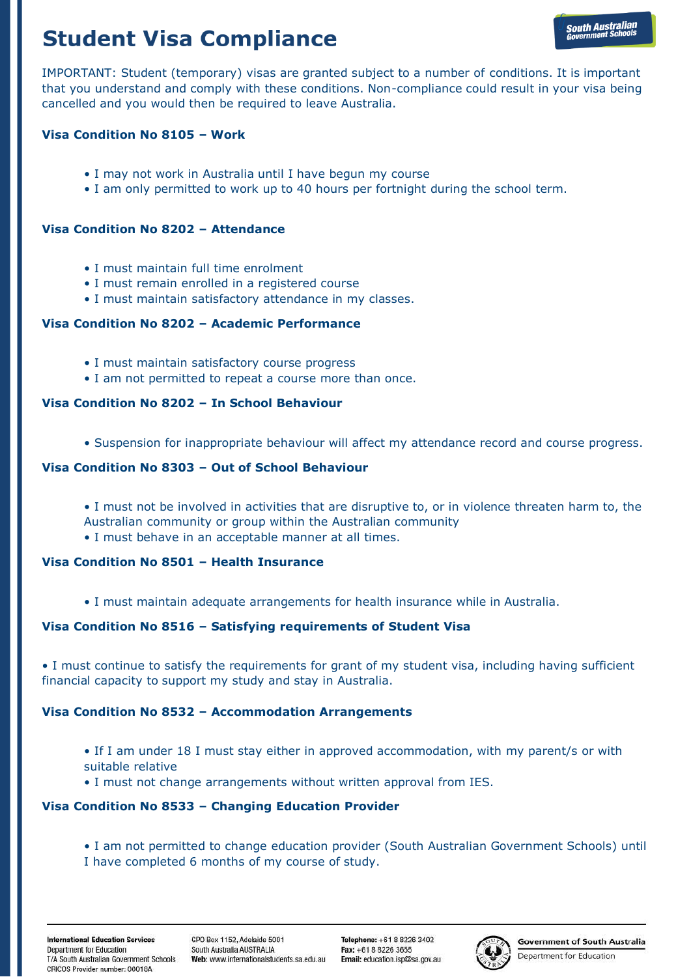# **Student Visa Compliance**

IMPORTANT: Student (temporary) visas are granted subject to a number of conditions. It is important that you understand and comply with these conditions. Non-compliance could result in your visa being cancelled and you would then be required to leave Australia.

## **Visa Condition No 8105 – Work**

- I may not work in Australia until I have begun my course
- I am only permitted to work up to 40 hours per fortnight during the school term.

#### **Visa Condition No 8202 – Attendance**

- I must maintain full time enrolment
- I must remain enrolled in a registered course
- I must maintain satisfactory attendance in my classes.

## **Visa Condition No 8202 – Academic Performance**

- I must maintain satisfactory course progress
- I am not permitted to repeat a course more than once.

## **Visa Condition No 8202 – In School Behaviour**

• Suspension for inappropriate behaviour will affect my attendance record and course progress.

#### **Visa Condition No 8303 – Out of School Behaviour**

- I must not be involved in activities that are disruptive to, or in violence threaten harm to, the Australian community or group within the Australian community
- I must behave in an acceptable manner at all times.

## **Visa Condition No 8501 – Health Insurance**

• I must maintain adequate arrangements for health insurance while in Australia.

## **Visa Condition No 8516 – Satisfying requirements of Student Visa**

• I must continue to satisfy the requirements for grant of my student visa, including having sufficient financial capacity to support my study and stay in Australia.

#### **Visa Condition No 8532 – Accommodation Arrangements**

- If I am under 18 I must stay either in approved accommodation, with my parent/s or with suitable relative
- I must not change arrangements without written approval from IES.

## **Visa Condition No 8533 – Changing Education Provider**

• I am not permitted to change education provider (South Australian Government Schools) until I have completed 6 months of my course of study.